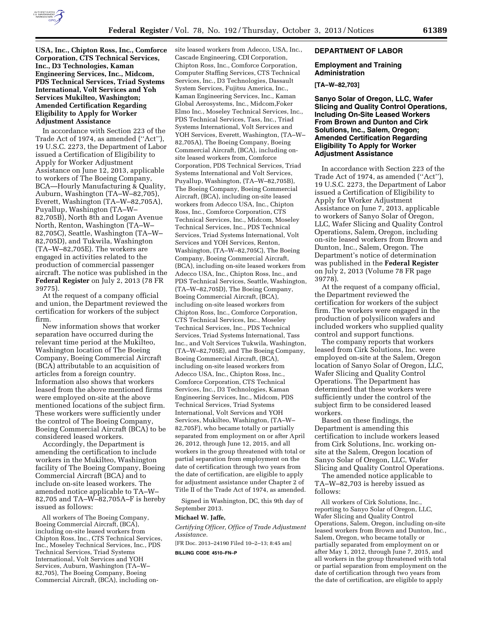

**USA, Inc., Chipton Ross, Inc., Comforce Corporation, CTS Technical Services, Inc., D3 Technologies, Kaman Engineering Services, Inc., Midcom, PDS Technical Services, Triad Systems International, Volt Services and Yoh Services Mukilteo, Washington; Amended Certification Regarding Eligibility to Apply for Worker Adjustment Assistance** 

In accordance with Section 223 of the Trade Act of 1974, as amended (''Act''), 19 U.S.C. 2273, the Department of Labor issued a Certification of Eligibility to Apply for Worker Adjustment Assistance on June 12, 2013, applicable to workers of The Boeing Company, BCA—Hourly Manufacturing & Quality, Auburn, Washington (TA–W–82,705), Everett, Washington (TA–W–82,705A), Puyallup, Washington (TA–W– 82,705B), North 8th and Logan Avenue North, Renton, Washington (TA–W– 82,705C), Seattle, Washington (TA–W– 82,705D), and Tukwila, Washington (TA–W–82,705E). The workers are engaged in activities related to the production of commercial passenger aircraft. The notice was published in the **Federal Register** on July 2, 2013 (78 FR 39775).

At the request of a company official and union, the Department reviewed the certification for workers of the subject firm.

New information shows that worker separation have occurred during the relevant time period at the Mukilteo, Washington location of The Boeing Company, Boeing Commercial Aircraft (BCA) attributable to an acquisition of articles from a foreign country. Information also shows that workers leased from the above mentioned firms were employed on-site at the above mentioned locations of the subject firm. These workers were sufficiently under the control of The Boeing Company, Boeing Commercial Aircraft (BCA) to be considered leased workers.

Accordingly, the Department is amending the certification to include workers in the Mukilteo, Washington facility of The Boeing Company, Boeing Commercial Aircraft (BCA) and to include on-site leased workers. The amended notice applicable to TA–W– 82,705 and TA–W–82,705A–F is hereby issued as follows:

All workers of The Boeing Company, Boeing Commercial Aircraft, (BCA), including on-site leased workers from Chipton Ross, Inc., CTS Technical Services, Inc., Moseley Technical Services, Inc., PDS Technical Services, Triad Systems International, Volt Services and YOH Services, Auburn, Washington (TA–W– 82,705), The Boeing Company, Boeing Commercial Aircraft, (BCA), including onsite leased workers from Adecco, USA, Inc., Cascade Engineering, CDI Corporation, Chipton Ross, Inc., Comforce Corporation, Computer Staffing Services, CTS Technical Services, Inc., D3 Technologies, Dassault System Services, Fujitsu America, Inc., Kaman Engineering Services, Inc., Kaman Global Aerosystems, Inc., Midcom,Foker Elmo Inc., Moseley Technical Services, Inc., PDS Technical Services, Tass, Inc., Triad Systems International, Volt Services and YOH Services, Everett, Washington, (TA–W– 82,705A), The Boeing Company, Boeing Commercial Aircraft, (BCA), including onsite leased workers from, Comforce Corporation, PDS Technical Services, Triad Systems International and Volt Services, Puyallup, Washington, (TA–W–82,705B), The Boeing Company, Boeing Commercial Aircraft, (BCA), including on-site leased workers from Adecco USA, Inc., Chipton Ross, Inc., Comforce Corporation, CTS Technical Services, Inc., Midcom, Moseley Technical Services, Inc., PDS Technical Services, Triad Systems International, Volt Services and YOH Services, Renton, Washington, (TA–W–82,705C), The Boeing Company, Boeing Commercial Aircraft, (BCA), including on-site leased workers from Adecco USA, Inc., Chipton Ross, Inc., and PDS Technical Services, Seattle, Washington, (TA–W–82,705D), The Boeing Company, Boeing Commercial Aircraft, (BCA), including on-site leased workers from Chipton Ross, Inc., Comforce Corporation, CTS Technical Services, Inc., Moseley Technical Services, Inc., PDS Technical Services, Triad Systems International, Tass Inc., and Volt Services Tukwila, Washington, (TA–W–82,705E), and The Boeing Company, Boeing Commercial Aircraft, (BCA), including on-site leased workers from Adecco USA, Inc., Chipton Ross, Inc., Comforce Corporation, CTS Technical Services, Inc., D3 Technologies, Kaman Engineering Services, Inc., Midcom, PDS Technical Services, Triad Systems International, Volt Services and YOH Services, Mukilteo, Washington, (TA–W– 82,705F), who became totally or partially separated from employment on or after April 26, 2012, through June 12, 2015, and all workers in the group threatened with total or partial separation from employment on the date of certification through two years from the date of certification, are eligible to apply for adjustment assistance under Chapter 2 of Title II of the Trade Act of 1974, as amended.

Signed in Washington, DC, this 9th day of September 2013.

#### **Michael W. Jaffe,**

*Certifying Officer, Office of Trade Adjustment Assistance.* 

[FR Doc. 2013–24190 Filed 10–2–13; 8:45 am] **BILLING CODE 4510–FN–P** 

## **DEPARTMENT OF LABOR**

### **Employment and Training Administration**

#### **[TA–W–82,703]**

**Sanyo Solar of Oregon, LLC, Wafer Slicing and Quality Control Operations, Including On-Site Leased Workers From Brown and Dunton and Cirk Solutions, Inc., Salem, Oregon; Amended Certification Regarding Eligibility To Apply for Worker Adjustment Assistance** 

In accordance with Section 223 of the Trade Act of 1974, as amended (''Act''), 19 U.S.C. 2273, the Department of Labor issued a Certification of Eligibility to Apply for Worker Adjustment Assistance on June 7, 2013, applicable to workers of Sanyo Solar of Oregon, LLC, Wafer Slicing and Quality Control Operations, Salem, Oregon, including on-site leased workers from Brown and Dunton, Inc., Salem, Oregon. The Department's notice of determination was published in the **Federal Register**  on July 2, 2013 (Volume 78 FR page 39778).

At the request of a company official, the Department reviewed the certification for workers of the subject firm. The workers were engaged in the production of polysilicon wafers and included workers who supplied quality control and support functions.

The company reports that workers leased from Cirk Solutions, Inc. were employed on-site at the Salem, Oregon location of Sanyo Solar of Oregon, LLC, Wafer Slicing and Quality Control Operations. The Department has determined that these workers were sufficiently under the control of the subject firm to be considered leased workers.

Based on these findings, the Department is amending this certification to include workers leased from Cirk Solutions, Inc. working onsite at the Salem, Oregon location of Sanyo Solar of Oregon, LLC, Wafer Slicing and Quality Control Operations.

The amended notice applicable to TA–W–82,703 is hereby issued as follows:

All workers of Cirk Solutions, Inc., reporting to Sanyo Solar of Oregon, LLC, Wafer Slicing and Quality Control Operations, Salem, Oregon, including on-site leased workers from Brown and Dunton, Inc., Salem, Oregon, who became totally or partially separated from employment on or after May 1, 2012, through June 7, 2015, and all workers in the group threatened with total or partial separation from employment on the date of certification through two years from the date of certification, are eligible to apply